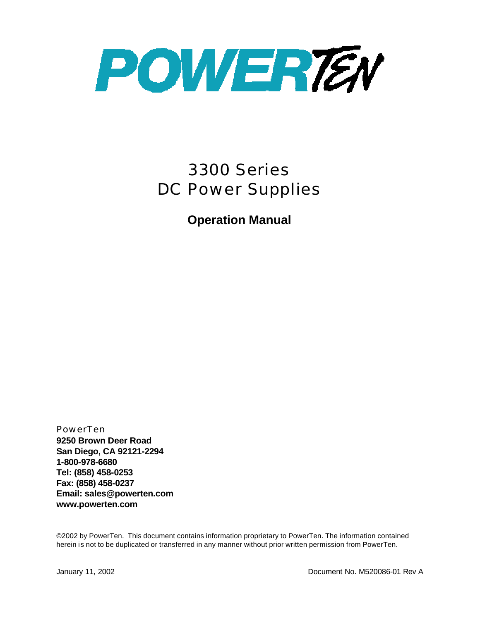

# *3300 Series DC Power Supplies*

**Operation Manual** 

PowerTen **9250 Brown Deer Road San Diego, CA 92121-2294 1-800-978-6680 Tel: (858) 458-0253 Fax: (858) 458-0237 Email: sales@powerten.com www.powerten.com**

©2002 by PowerTen. This document contains information proprietary to PowerTen. The information contained herein is not to be duplicated or transferred in any manner without prior written permission from PowerTen.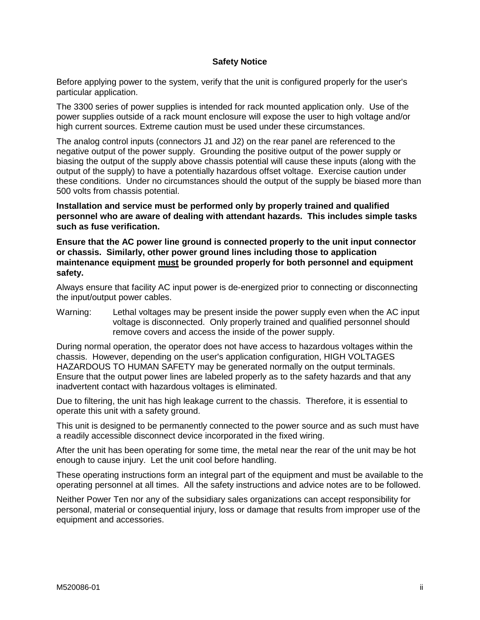### **Safety Notice**

Before applying power to the system, verify that the unit is configured properly for the user's particular application.

The 3300 series of power supplies is intended for rack mounted application only. Use of the power supplies outside of a rack mount enclosure will expose the user to high voltage and/or high current sources. Extreme caution must be used under these circumstances.

The analog control inputs (connectors J1 and J2) on the rear panel are referenced to the negative output of the power supply. Grounding the positive output of the power supply or biasing the output of the supply above chassis potential will cause these inputs (along with the output of the supply) to have a potentially hazardous offset voltage. Exercise caution under these conditions. Under no circumstances should the output of the supply be biased more than 500 volts from chassis potential.

**Installation and service must be performed only by properly trained and qualified personnel who are aware of dealing with attendant hazards. This includes simple tasks such as fuse verification.** 

**Ensure that the AC power line ground is connected properly to the unit input connector or chassis. Similarly, other power ground lines including those to application maintenance equipment must be grounded properly for both personnel and equipment safety.**

Always ensure that facility AC input power is de-energized prior to connecting or disconnecting the input/output power cables.

Warning: Lethal voltages may be present inside the power supply even when the AC input voltage is disconnected. Only properly trained and qualified personnel should remove covers and access the inside of the power supply.

During normal operation, the operator does not have access to hazardous voltages within the chassis. However, depending on the user's application configuration, HIGH VOLTAGES HAZARDOUS TO HUMAN SAFETY may be generated normally on the output terminals. Ensure that the output power lines are labeled properly as to the safety hazards and that any inadvertent contact with hazardous voltages is eliminated.

Due to filtering, the unit has high leakage current to the chassis. Therefore, it is essential to operate this unit with a safety ground.

This unit is designed to be permanently connected to the power source and as such must have a readily accessible disconnect device incorporated in the fixed wiring.

After the unit has been operating for some time, the metal near the rear of the unit may be hot enough to cause injury. Let the unit cool before handling.

These operating instructions form an integral part of the equipment and must be available to the operating personnel at all times. All the safety instructions and advice notes are to be followed.

Neither Power Ten nor any of the subsidiary sales organizations can accept responsibility for personal, material or consequential injury, loss or damage that results from improper use of the equipment and accessories.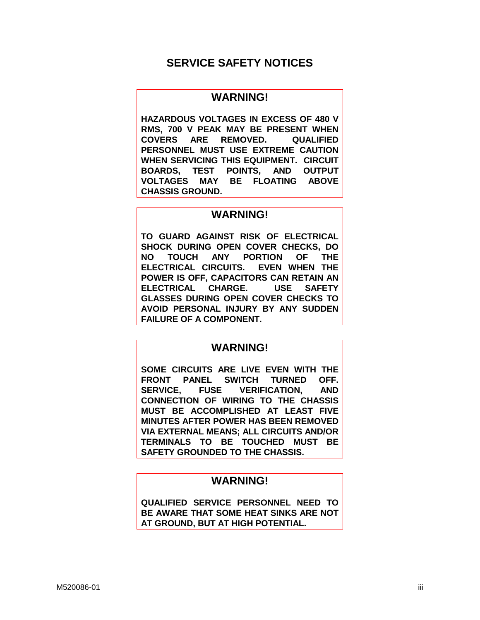# **SERVICE SAFETY NOTICES**

## **WARNING!**

**HAZARDOUS VOLTAGES IN EXCESS OF 480 V RMS, 700 V PEAK MAY BE PRESENT WHEN COVERS ARE REMOVED. QUALIFIED PERSONNEL MUST USE EXTREME CAUTION WHEN SERVICING THIS EQUIPMENT. CIRCUIT BOARDS, TEST POINTS, AND OUTPUT VOLTAGES MAY BE FLOATING ABOVE CHASSIS GROUND.**

## **WARNING!**

**TO GUARD AGAINST RISK OF ELECTRICAL SHOCK DURING OPEN COVER CHECKS, DO NO TOUCH ANY PORTION OF THE ELECTRICAL CIRCUITS. EVEN WHEN THE POWER IS OFF, CAPACITORS CAN RETAIN AN ELECTRICAL CHARGE. USE SAFETY GLASSES DURING OPEN COVER CHECKS TO AVOID PERSONAL INJURY BY ANY SUDDEN FAILURE OF A COMPONENT.** 

## **WARNING!**

**SOME CIRCUITS ARE LIVE EVEN WITH THE FRONT PANEL SWITCH TURNED OFF. SERVICE, FUSE VERIFICATION, AND CONNECTION OF WIRING TO THE CHASSIS MUST BE ACCOMPLISHED AT LEAST FIVE MINUTES AFTER POWER HAS BEEN REMOVED VIA EXTERNAL MEANS; ALL CIRCUITS AND/OR TERMINALS TO BE TOUCHED MUST BE SAFETY GROUNDED TO THE CHASSIS.** 

# **WARNING!**

**QUALIFIED SERVICE PERSONNEL NEED TO BE AWARE THAT SOME HEAT SINKS ARE NOT AT GROUND, BUT AT HIGH POTENTIAL.**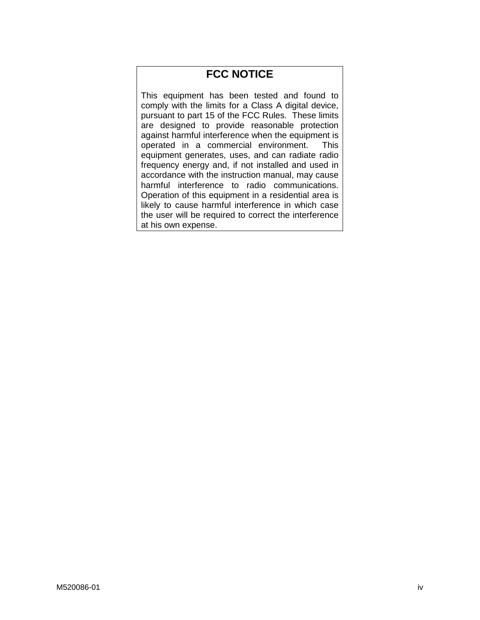# **FCC NOTICE**

This equipment has been tested and found to comply with the limits for a Class A digital device, pursuant to part 15 of the FCC Rules. These limits are designed to provide reasonable protection against harmful interference when the equipment is operated in a commercial environment. This equipment generates, uses, and can radiate radio frequency energy and, if not installed and used in accordance with the instruction manual, may cause harmful interference to radio communications. Operation of this equipment in a residential area is likely to cause harmful interference in which case the user will be required to correct the interference at his own expense.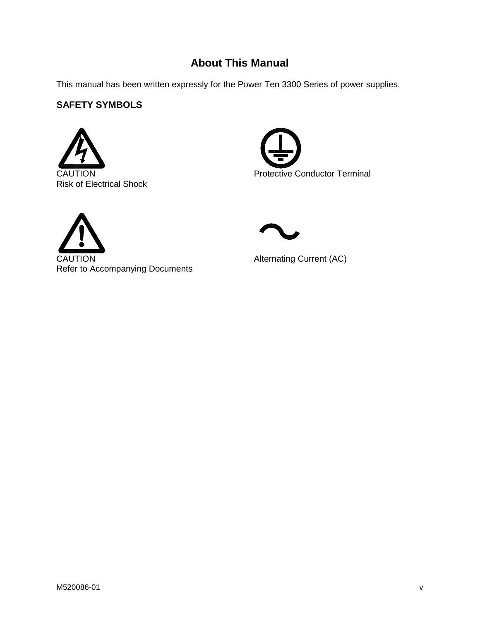# **About This Manual**

This manual has been written expressly for the Power Ten 3300 Series of power supplies.

# **SAFETY SYMBOLS**







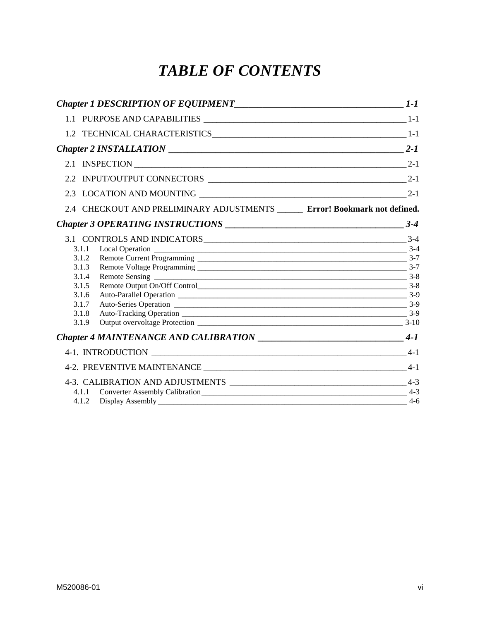# *TABLE OF CONTENTS*

| Chapter 1 DESCRIPTION OF EQUIPMENT <sub>1-1</sub>                                                             |       |
|---------------------------------------------------------------------------------------------------------------|-------|
|                                                                                                               |       |
|                                                                                                               |       |
| Chapter 2 INSTALLATION $\qquad \qquad$ 2-1                                                                    |       |
|                                                                                                               |       |
|                                                                                                               |       |
|                                                                                                               |       |
| 2.4 CHECKOUT AND PRELIMINARY ADJUSTMENTS ______ Error! Bookmark not defined.                                  |       |
|                                                                                                               |       |
| 3.1.1<br>3.1.2<br>3.1.3<br>3.1.4<br>Remote Output On/Off Control<br>3.1.5<br>3.1.6<br>3.1.7<br>3.1.8<br>3.1.9 |       |
| Chapter 4 MAINTENANCE AND CALIBRATION ___________________________________4-1                                  |       |
|                                                                                                               | $4-1$ |
|                                                                                                               |       |
| 4.1.1<br>4.1.2                                                                                                | -4-6  |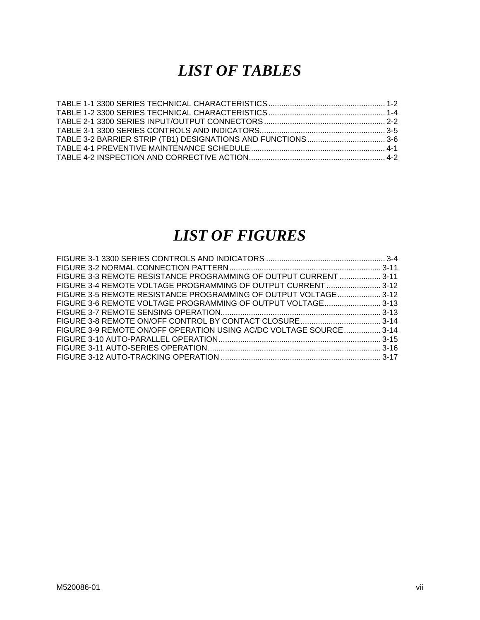# *LIST OF TABLES*

# *LIST OF FIGURES*

| FIGURE 3-3 REMOTE RESISTANCE PROGRAMMING OF OUTPUT CURRENT  3-11   |  |
|--------------------------------------------------------------------|--|
| FIGURE 3-4 REMOTE VOLTAGE PROGRAMMING OF OUTPUT CURRENT  3-12      |  |
| FIGURE 3-5 REMOTE RESISTANCE PROGRAMMING OF OUTPUT VOLTAGE 3-12    |  |
| FIGURE 3-6 REMOTE VOLTAGE PROGRAMMING OF OUTPUT VOLTAGE 3-13       |  |
|                                                                    |  |
|                                                                    |  |
| FIGURE 3-9 REMOTE ON/OFF OPERATION USING AC/DC VOLTAGE SOURCE 3-14 |  |
|                                                                    |  |
|                                                                    |  |
|                                                                    |  |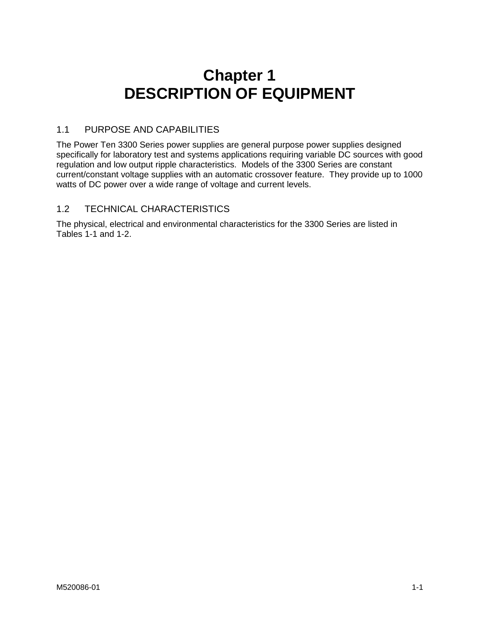# **Chapter 1 DESCRIPTION OF EQUIPMENT**

## <span id="page-7-0"></span>1.1 PURPOSE AND CAPABILITIES

The Power Ten 3300 Series power supplies are general purpose power supplies designed specifically for laboratory test and systems applications requiring variable DC sources with good regulation and low output ripple characteristics. Models of the 3300 Series are constant current/constant voltage supplies with an automatic crossover feature. They provide up to 1000 watts of DC power over a wide range of voltage and current levels.

## 1.2 TECHNICAL CHARACTERISTICS

The physical, electrical and environmental characteristics for the 3300 Series are listed in Tables 1-1 and 1-2.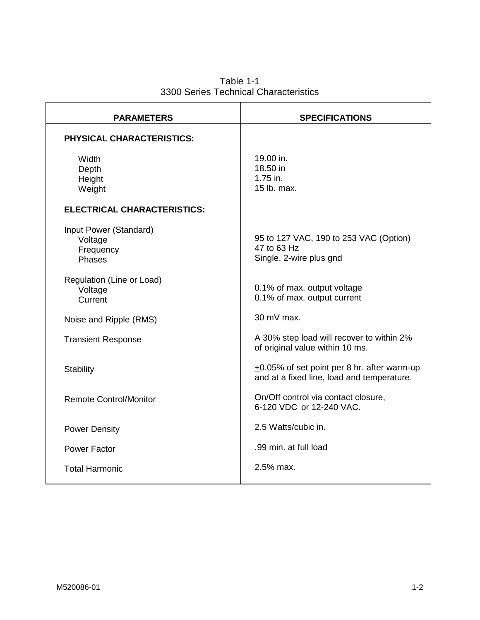Table 1-1 3300 Series Technical Characteristics

<span id="page-8-0"></span>

| <b>PARAMETERS</b>                                        | <b>SPECIFICATIONS</b>                                                                          |  |
|----------------------------------------------------------|------------------------------------------------------------------------------------------------|--|
| <b>PHYSICAL CHARACTERISTICS:</b>                         |                                                                                                |  |
| Width<br>Depth<br>Height<br>Weight                       | 19.00 in.<br>18.50 in<br>1.75 in.<br>15 lb. max.                                               |  |
| <b>ELECTRICAL CHARACTERISTICS:</b>                       |                                                                                                |  |
| Input Power (Standard)<br>Voltage<br>Frequency<br>Phases | 95 to 127 VAC, 190 to 253 VAC (Option)<br>47 to 63 Hz<br>Single, 2-wire plus gnd               |  |
| Regulation (Line or Load)<br>Voltage<br>Current          | 0.1% of max. output voltage<br>0.1% of max. output current                                     |  |
| Noise and Ripple (RMS)                                   | 30 mV max.                                                                                     |  |
| <b>Transient Response</b>                                | A 30% step load will recover to within 2%<br>of original value within 10 ms.                   |  |
| <b>Stability</b>                                         | $\pm$ 0.05% of set point per 8 hr. after warm-up<br>and at a fixed line, load and temperature. |  |
| <b>Remote Control/Monitor</b>                            | On/Off control via contact closure,<br>6-120 VDC or 12-240 VAC.                                |  |
| <b>Power Density</b>                                     | 2.5 Watts/cubic in.                                                                            |  |
| <b>Power Factor</b>                                      | .99 min. at full load                                                                          |  |
| <b>Total Harmonic</b>                                    | 2.5% max.                                                                                      |  |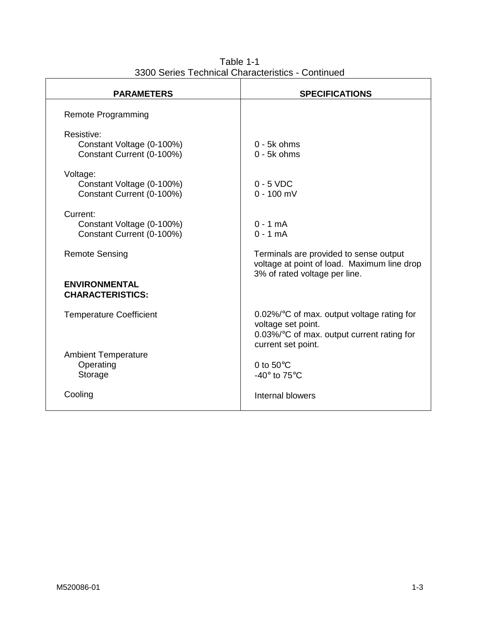| $50100 + 50111001 + 51101000$                                        |                                                                                                                                         |
|----------------------------------------------------------------------|-----------------------------------------------------------------------------------------------------------------------------------------|
| <b>PARAMETERS</b>                                                    | <b>SPECIFICATIONS</b>                                                                                                                   |
| <b>Remote Programming</b>                                            |                                                                                                                                         |
| Resistive:<br>Constant Voltage (0-100%)<br>Constant Current (0-100%) | $0 - 5k$ ohms<br>$0 - 5k$ ohms                                                                                                          |
| Voltage:<br>Constant Voltage (0-100%)<br>Constant Current (0-100%)   | $0 - 5$ VDC<br>$0 - 100$ mV                                                                                                             |
| Current:<br>Constant Voltage (0-100%)<br>Constant Current (0-100%)   | $0 - 1$ mA<br>$0 - 1$ mA                                                                                                                |
| <b>Remote Sensing</b>                                                | Terminals are provided to sense output<br>voltage at point of load. Maximum line drop<br>3% of rated voltage per line.                  |
| <b>ENVIRONMENTAL</b><br><b>CHARACTERISTICS:</b>                      |                                                                                                                                         |
| <b>Temperature Coefficient</b>                                       | $0.02\%$ °C of max. output voltage rating for<br>voltage set point.<br>0.03%/°C of max. output current rating for<br>current set point. |
| <b>Ambient Temperature</b><br>Operating<br>Storage                   | 0 to $50^{\circ}$ C<br>-40 $\degree$ to 75 $\degree$ C                                                                                  |
| Cooling                                                              | Internal blowers                                                                                                                        |

Table 1-1 3300 Series Technical Characteristics - Continued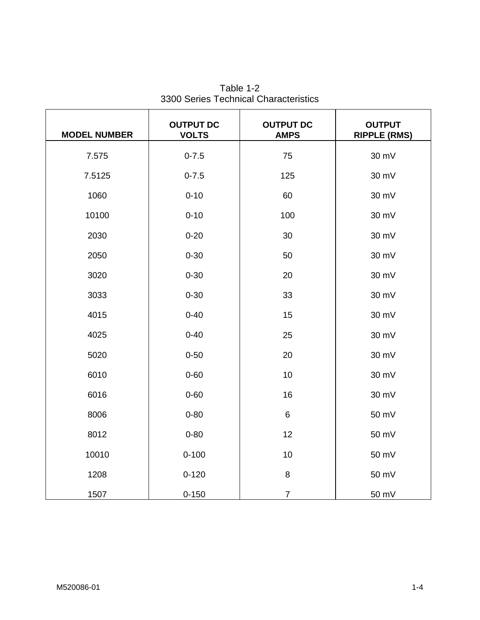<span id="page-10-0"></span>

| <b>MODEL NUMBER</b> | <b>OUTPUT DC</b><br><b>VOLTS</b> | <b>OUTPUT DC</b><br><b>AMPS</b> | <b>OUTPUT</b><br><b>RIPPLE (RMS)</b> |
|---------------------|----------------------------------|---------------------------------|--------------------------------------|
| 7.575               | $0 - 7.5$                        | 75                              | 30 mV                                |
| 7.5125              | $0 - 7.5$                        | 125                             | 30 mV                                |
| 1060                | $0 - 10$                         | 60                              | 30 mV                                |
| 10100               | $0 - 10$                         | 100                             | 30 mV                                |
| 2030                | $0 - 20$                         | 30                              | 30 mV                                |
| 2050                | $0 - 30$                         | 50                              | 30 mV                                |
| 3020                | $0 - 30$                         | 20                              | 30 mV                                |
| 3033                | $0 - 30$                         | 33                              | 30 mV                                |
| 4015                | $0 - 40$                         | 15                              | 30 mV                                |
| 4025                | $0 - 40$                         | 25                              | 30 mV                                |
| 5020                | $0 - 50$                         | 20                              | 30 mV                                |
| 6010                | $0 - 60$                         | 10                              | 30 mV                                |
| 6016                | $0 - 60$                         | 16                              | 30 mV                                |
| 8006                | $0 - 80$                         | $6\phantom{1}6$                 | 50 mV                                |
| 8012                | $0 - 80$                         | 12                              | 50 mV                                |
| 10010               | $0 - 100$                        | 10                              | 50 mV                                |
| 1208                | $0 - 120$                        | 8                               | 50 mV                                |
| 1507                | $0 - 150$                        | $\overline{7}$                  | 50 mV                                |

Table 1-2 3300 Series Technical Characteristics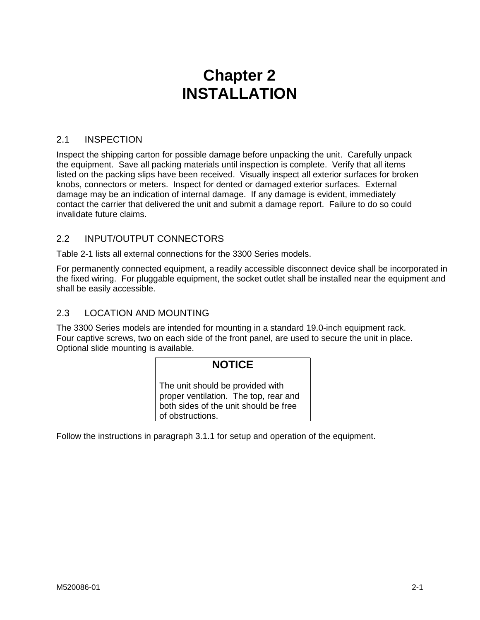# **Chapter 2 INSTALLATION**

## <span id="page-11-0"></span>2.1 INSPECTION

Inspect the shipping carton for possible damage before unpacking the unit. Carefully unpack the equipment. Save all packing materials until inspection is complete. Verify that all items listed on the packing slips have been received. Visually inspect all exterior surfaces for broken knobs, connectors or meters. Inspect for dented or damaged exterior surfaces. External damage may be an indication of internal damage. If any damage is evident, immediately contact the carrier that delivered the unit and submit a damage report. Failure to do so could invalidate future claims.

## 2.2 INPUT/OUTPUT CONNECTORS

Table 2-1 lists all external connections for the 3300 Series models.

For permanently connected equipment, a readily accessible disconnect device shall be incorporated in the fixed wiring. For pluggable equipment, the socket outlet shall be installed near the equipment and shall be easily accessible.

## 2.3 LOCATION AND MOUNTING

The 3300 Series models are intended for mounting in a standard 19.0-inch equipment rack. Four captive screws, two on each side of the front panel, are used to secure the unit in place. Optional slide mounting is available.

# **NOTICE**

The unit should be provided with proper ventilation. The top, rear and both sides of the unit should be free of obstructions.

Follow the instructions in paragraph 3.1.1 for setup and operation of the equipment.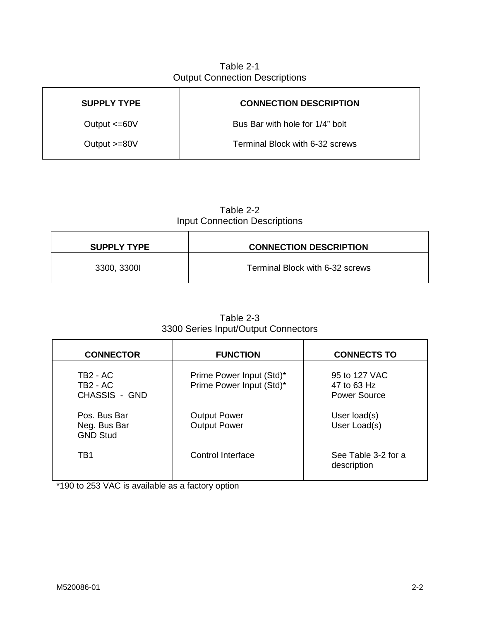# Table 2-1 Output Connection Descriptions

<span id="page-12-0"></span>

| <b>CONNECTION DESCRIPTION</b>   |
|---------------------------------|
| Bus Bar with hole for 1/4" bolt |
| Terminal Block with 6-32 screws |
|                                 |

# Table 2-2 Input Connection Descriptions

| <b>SUPPLY TYPE</b> | <b>CONNECTION DESCRIPTION</b>   |
|--------------------|---------------------------------|
| 3300, 33001        | Terminal Block with 6-32 screws |

| <b>CONNECTOR</b>                                         | <b>FUNCTION</b>                                      | <b>CONNECTS TO</b>                           |
|----------------------------------------------------------|------------------------------------------------------|----------------------------------------------|
| TB2 - AC<br>TB <sub>2</sub> - AC<br><b>CHASSIS - GND</b> | Prime Power Input (Std)*<br>Prime Power Input (Std)* | 95 to 127 VAC<br>47 to 63 Hz<br>Power Source |
| Pos. Bus Bar<br>Neg. Bus Bar<br><b>GND Stud</b>          | <b>Output Power</b><br><b>Output Power</b>           | User load(s)<br>User Load(s)                 |
| TB1                                                      | Control Interface                                    | See Table 3-2 for a<br>description           |

Table 2-3 3300 Series Input/Output Connectors

\*190 to 253 VAC is available as a factory option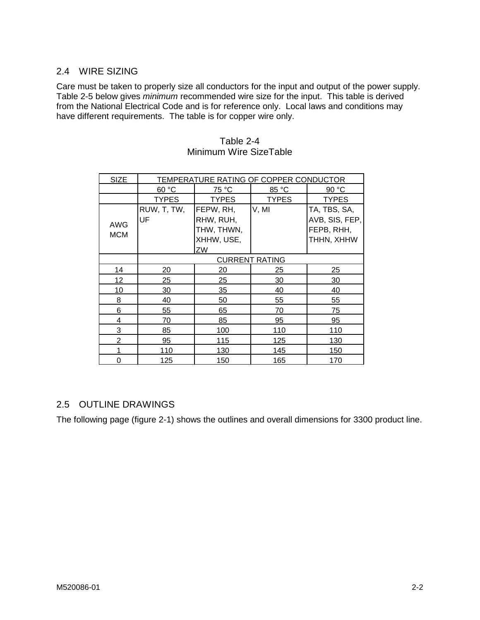# 2.4 WIRE SIZING

Care must be taken to properly size all conductors for the input and output of the power supply. Table 2-5 below gives *minimum* recommended wire size for the input. This table is derived from the National Electrical Code and is for reference only. Local laws and conditions may have different requirements. The table is for copper wire only.

| SIZE                     | TEMPERATURE RATING OF COPPER CONDUCTOR |                                                          |              |                                                            |
|--------------------------|----------------------------------------|----------------------------------------------------------|--------------|------------------------------------------------------------|
|                          | 60 °C                                  | 75 °C                                                    | 85 °C        | 90 °C                                                      |
|                          | <b>TYPES</b>                           | <b>TYPES</b>                                             | <b>TYPES</b> | <b>TYPES</b>                                               |
| <b>AWG</b><br><b>MCM</b> | RUW, T, TW,<br>UF                      | FEPW, RH,<br>RHW, RUH,<br>THW, THWN,<br>XHHW, USE,<br>ZW | V, MI        | TA, TBS, SA,<br>AVB, SIS, FEP,<br>FEPB, RHH,<br>THHN, XHHW |
|                          | <b>CURRENT RATING</b>                  |                                                          |              |                                                            |
| 14                       | 20                                     | 20                                                       | 25           | 25                                                         |
| 12                       | 25                                     | 25                                                       | 30           | 30                                                         |
| 10                       | 30                                     | 35                                                       | 40           | 40                                                         |
| 8                        | 40                                     | 50                                                       | 55           | 55                                                         |
| 6                        | 55                                     | 65                                                       | 70           | 75                                                         |
| 4                        | 70                                     | 85                                                       | 95           | 95                                                         |
| 3                        | 85                                     | 100                                                      | 110          | 110                                                        |
| $\overline{2}$           | 95                                     | 115                                                      | 125          | 130                                                        |
|                          | <u>110</u>                             | 130                                                      | 145          | 150                                                        |
| $\Omega$                 | 125                                    | 150                                                      | 165          | 170                                                        |

## Table 2-4 Minimum Wire SizeTable

# 2.5 OUTLINE DRAWINGS

The following page (figure 2-1) shows the outlines and overall dimensions for 3300 product line.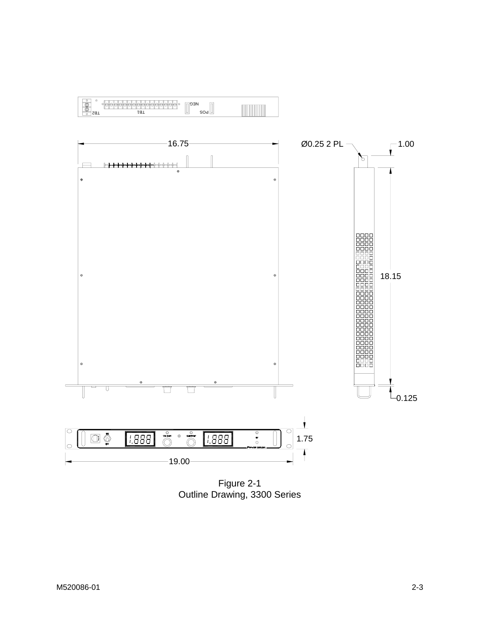

Figure 2-1 Outline Drawing, 3300 Series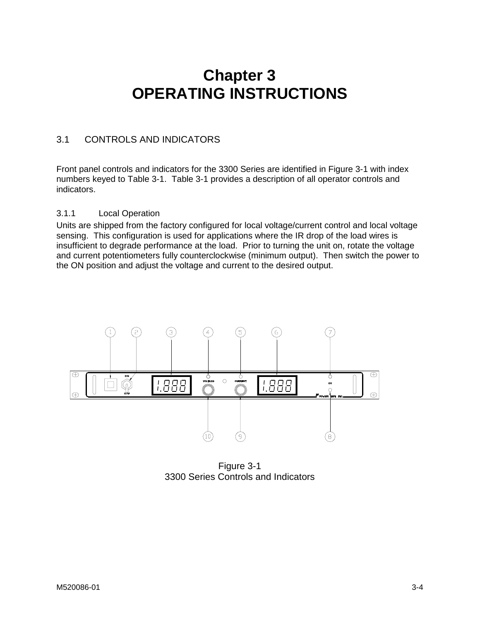# **Chapter 3 OPERATING INSTRUCTIONS**

## <span id="page-15-0"></span>3.1 CONTROLS AND INDICATORS

Front panel controls and indicators for the 3300 Series are identified in Figure 3-1 with index numbers keyed to Table 3-1. Table 3-1 provides a description of all operator controls and indicators.

### 3.1.1 Local Operation

Units are shipped from the factory configured for local voltage/current control and local voltage sensing. This configuration is used for applications where the IR drop of the load wires is insufficient to degrade performance at the load. Prior to turning the unit on, rotate the voltage and current potentiometers fully counterclockwise (minimum output). Then switch the power to the ON position and adjust the voltage and current to the desired output.



Figure 3-1 3300 Series Controls and Indicators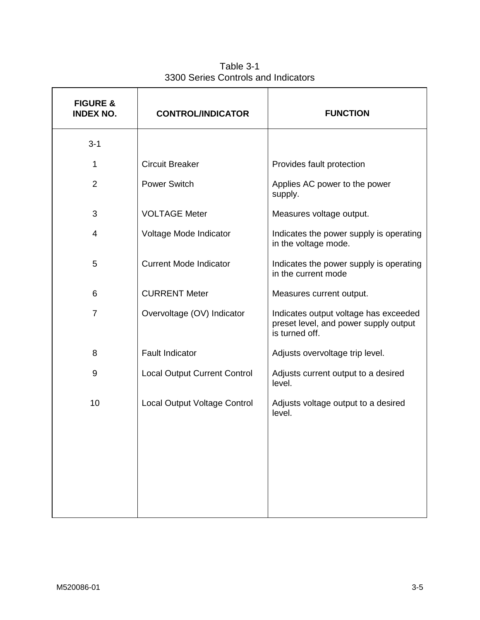<span id="page-16-0"></span>

| <b>FIGURE &amp;</b><br><b>INDEX NO.</b> | <b>CONTROL/INDICATOR</b>            | <b>FUNCTION</b>                                                                                  |  |
|-----------------------------------------|-------------------------------------|--------------------------------------------------------------------------------------------------|--|
| $3 - 1$                                 |                                     |                                                                                                  |  |
| 1                                       | <b>Circuit Breaker</b>              | Provides fault protection                                                                        |  |
| 2                                       | <b>Power Switch</b>                 | Applies AC power to the power<br>supply.                                                         |  |
| 3                                       | <b>VOLTAGE Meter</b>                | Measures voltage output.                                                                         |  |
| 4                                       | Voltage Mode Indicator              | Indicates the power supply is operating<br>in the voltage mode.                                  |  |
| 5                                       | <b>Current Mode Indicator</b>       | Indicates the power supply is operating<br>in the current mode                                   |  |
| 6                                       | <b>CURRENT Meter</b>                | Measures current output.                                                                         |  |
| $\overline{7}$                          | Overvoltage (OV) Indicator          | Indicates output voltage has exceeded<br>preset level, and power supply output<br>is turned off. |  |
| 8                                       | <b>Fault Indicator</b>              | Adjusts overvoltage trip level.                                                                  |  |
| 9                                       | <b>Local Output Current Control</b> | Adjusts current output to a desired<br>level.                                                    |  |
| 10                                      | Local Output Voltage Control        | Adjusts voltage output to a desired<br>level.                                                    |  |
|                                         |                                     |                                                                                                  |  |

Table 3-1 3300 Series Controls and Indicators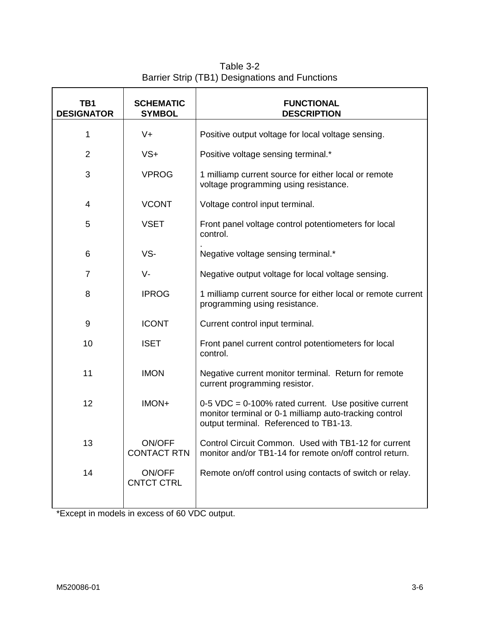| Table 3-2                                      |
|------------------------------------------------|
| Barrier Strip (TB1) Designations and Functions |

<span id="page-17-0"></span>

| TB1<br><b>DESIGNATOR</b> | <b>SCHEMATIC</b><br><b>SYMBOL</b> | <b>FUNCTIONAL</b><br><b>DESCRIPTION</b>                                                                                                                    |  |
|--------------------------|-----------------------------------|------------------------------------------------------------------------------------------------------------------------------------------------------------|--|
| 1                        | $V +$                             | Positive output voltage for local voltage sensing.                                                                                                         |  |
| $\overline{2}$           | $VS+$                             | Positive voltage sensing terminal.*                                                                                                                        |  |
| 3                        | <b>VPROG</b>                      | 1 milliamp current source for either local or remote<br>voltage programming using resistance.                                                              |  |
| $\overline{\mathcal{A}}$ | <b>VCONT</b>                      | Voltage control input terminal.                                                                                                                            |  |
| 5                        | <b>VSET</b>                       | Front panel voltage control potentiometers for local<br>control.                                                                                           |  |
| 6                        | VS-                               | Negative voltage sensing terminal.*                                                                                                                        |  |
| $\overline{7}$           | V-                                | Negative output voltage for local voltage sensing.                                                                                                         |  |
| 8                        | <b>IPROG</b>                      | 1 milliamp current source for either local or remote current<br>programming using resistance.                                                              |  |
| 9                        | <b>ICONT</b>                      | Current control input terminal.                                                                                                                            |  |
| 10                       | <b>ISET</b>                       | Front panel current control potentiometers for local<br>control.                                                                                           |  |
| 11                       | <b>IMON</b>                       | Negative current monitor terminal. Return for remote<br>current programming resistor.                                                                      |  |
| 12                       | IMON+                             | $0-5$ VDC = 0-100% rated current. Use positive current<br>monitor terminal or 0-1 milliamp auto-tracking control<br>output terminal. Referenced to TB1-13. |  |
| 13                       | ON/OFF<br><b>CONTACT RTN</b>      | Control Circuit Common. Used with TB1-12 for current<br>monitor and/or TB1-14 for remote on/off control return.                                            |  |
| 14                       | ON/OFF<br><b>CNTCT CTRL</b>       | Remote on/off control using contacts of switch or relay.                                                                                                   |  |

\*Except in models in excess of 60 VDC output.

7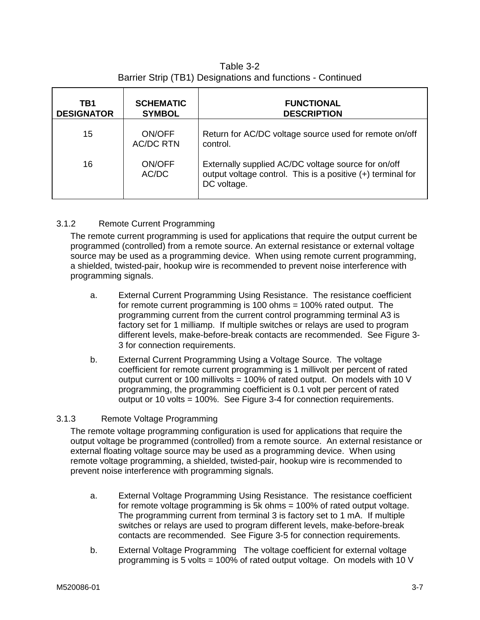Table 3-2 Barrier Strip (TB1) Designations and functions - Continued

<span id="page-18-0"></span>

| TB1<br><b>DESIGNATOR</b> | <b>SCHEMATIC</b><br><b>SYMBOL</b> | <b>FUNCTIONAL</b><br><b>DESCRIPTION</b>                                                                                           |
|--------------------------|-----------------------------------|-----------------------------------------------------------------------------------------------------------------------------------|
| 15                       | ON/OFF<br><b>AC/DC RTN</b>        | Return for AC/DC voltage source used for remote on/off<br>control.                                                                |
| 16                       | ON/OFF<br>AC/DC                   | Externally supplied AC/DC voltage source for on/off<br>output voltage control. This is a positive (+) terminal for<br>DC voltage. |

## 3.1.2 Remote Current Programming

The remote current programming is used for applications that require the output current be programmed (controlled) from a remote source. An external resistance or external voltage source may be used as a programming device. When using remote current programming, a shielded, twisted-pair, hookup wire is recommended to prevent noise interference with programming signals.

- a. External Current Programming Using Resistance. The resistance coefficient for remote current programming is 100 ohms = 100% rated output. The programming current from the current control programming terminal A3 is factory set for 1 milliamp. If multiple switches or relays are used to program different levels, make-before-break contacts are recommended. See Figure 3- 3 for connection requirements.
- b. External Current Programming Using a Voltage Source. The voltage coefficient for remote current programming is 1 millivolt per percent of rated output current or 100 millivolts = 100% of rated output. On models with 10 V programming, the programming coefficient is 0.1 volt per percent of rated output or 10 volts = 100%. See Figure 3-4 for connection requirements.

## 3.1.3 Remote Voltage Programming

The remote voltage programming configuration is used for applications that require the output voltage be programmed (controlled) from a remote source. An external resistance or external floating voltage source may be used as a programming device. When using remote voltage programming, a shielded, twisted-pair, hookup wire is recommended to prevent noise interference with programming signals.

- a. External Voltage Programming Using Resistance. The resistance coefficient for remote voltage programming is 5k ohms = 100% of rated output voltage. The programming current from terminal 3 is factory set to 1 mA. If multiple switches or relays are used to program different levels, make-before-break contacts are recommended. See Figure 3-5 for connection requirements.
- b. External Voltage Programming The voltage coefficient for external voltage programming is 5 volts = 100% of rated output voltage. On models with 10 V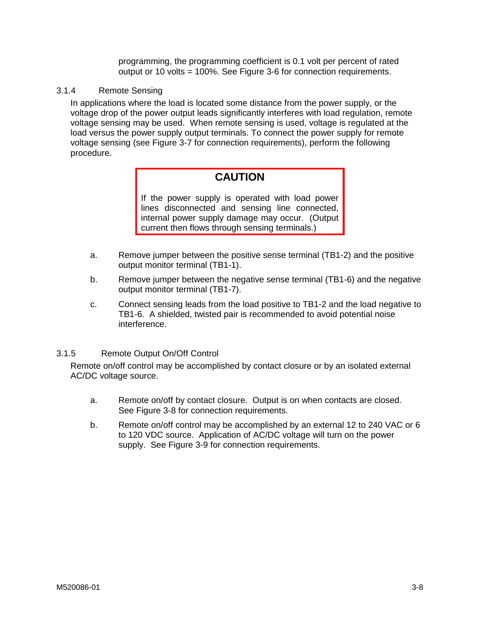programming, the programming coefficient is 0.1 volt per percent of rated output or 10 volts = 100%. See Figure 3-6 for connection requirements.

<span id="page-19-0"></span>3.1.4 Remote Sensing

In applications where the load is located some distance from the power supply, or the voltage drop of the power output leads significantly interferes with load regulation, remote voltage sensing may be used. When remote sensing is used, voltage is regulated at the load versus the power supply output terminals. To connect the power supply for remote voltage sensing (see Figure 3-7 for connection requirements), perform the following procedure.

# **CAUTION**

If the power supply is operated with load power lines disconnected and sensing line connected, internal power supply damage may occur. (Output current then flows through sensing terminals.)

- a. Remove jumper between the positive sense terminal (TB1-2) and the positive output monitor terminal (TB1-1).
- b. Remove jumper between the negative sense terminal (TB1-6) and the negative output monitor terminal (TB1-7).
- c. Connect sensing leads from the load positive to TB1-2 and the load negative to TB1-6. A shielded, twisted pair is recommended to avoid potential noise interference.

## 3.1.5 Remote Output On/Off Control

Remote on/off control may be accomplished by contact closure or by an isolated external AC/DC voltage source.

- a. Remote on/off by contact closure. Output is on when contacts are closed. See Figure 3-8 for connection requirements.
- b. Remote on/off control may be accomplished by an external 12 to 240 VAC or 6 to 120 VDC source. Application of AC/DC voltage will turn on the power supply. See Figure 3-9 for connection requirements.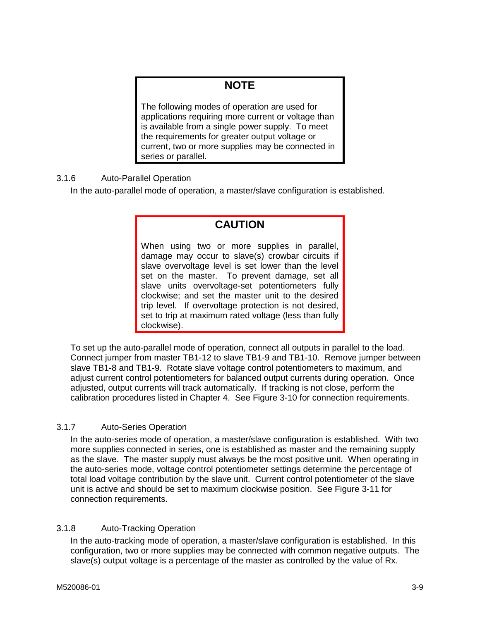# **NOTE**

<span id="page-20-0"></span>The following modes of operation are used for applications requiring more current or voltage than is available from a single power supply. To meet the requirements for greater output voltage or current, two or more supplies may be connected in series or parallel.

## 3.1.6 Auto-Parallel Operation

In the auto-parallel mode of operation, a master/slave configuration is established.

# **CAUTION**

When using two or more supplies in parallel, damage may occur to slave(s) crowbar circuits if slave overvoltage level is set lower than the level set on the master. To prevent damage, set all slave units overvoltage-set potentiometers fully clockwise; and set the master unit to the desired trip level. If overvoltage protection is not desired, set to trip at maximum rated voltage (less than fully clockwise).

To set up the auto-parallel mode of operation, connect all outputs in parallel to the load. Connect jumper from master TB1-12 to slave TB1-9 and TB1-10. Remove jumper between slave TB1-8 and TB1-9. Rotate slave voltage control potentiometers to maximum, and adjust current control potentiometers for balanced output currents during operation. Once adjusted, output currents will track automatically. If tracking is not close, perform the calibration procedures listed in Chapter 4. See Figure 3-10 for connection requirements.

## 3.1.7 Auto-Series Operation

In the auto-series mode of operation, a master/slave configuration is established. With two more supplies connected in series, one is established as master and the remaining supply as the slave. The master supply must always be the most positive unit. When operating in the auto-series mode, voltage control potentiometer settings determine the percentage of total load voltage contribution by the slave unit. Current control potentiometer of the slave unit is active and should be set to maximum clockwise position. See Figure 3-11 for connection requirements.

## 3.1.8 Auto-Tracking Operation

In the auto-tracking mode of operation, a master/slave configuration is established. In this configuration, two or more supplies may be connected with common negative outputs. The slave(s) output voltage is a percentage of the master as controlled by the value of Rx.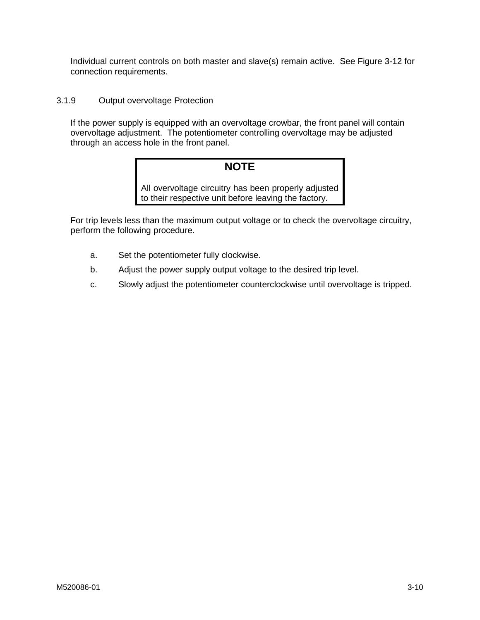<span id="page-21-0"></span>Individual current controls on both master and slave(s) remain active. See Figure 3-12 for connection requirements.

## 3.1.9 Output overvoltage Protection

If the power supply is equipped with an overvoltage crowbar, the front panel will contain overvoltage adjustment. The potentiometer controlling overvoltage may be adjusted through an access hole in the front panel.

# **NOTE**

All overvoltage circuitry has been properly adjusted to their respective unit before leaving the factory.

For trip levels less than the maximum output voltage or to check the overvoltage circuitry, perform the following procedure.

- a. Set the potentiometer fully clockwise.
- b. Adjust the power supply output voltage to the desired trip level.
- c. Slowly adjust the potentiometer counterclockwise until overvoltage is tripped.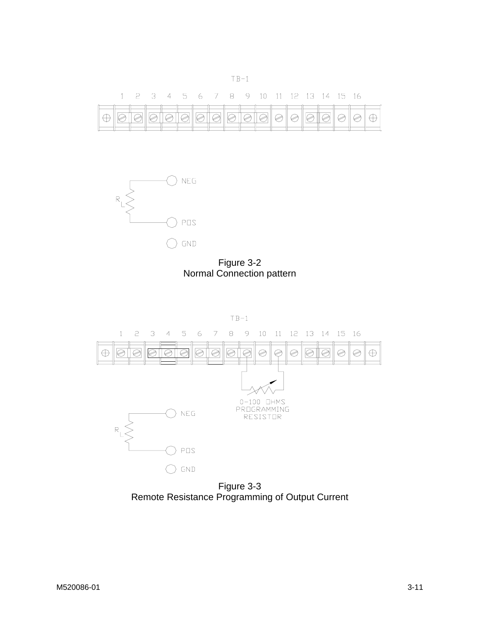<span id="page-22-0"></span>



Figure 3-2 Normal Connection pattern



Figure 3-3 Remote Resistance Programming of Output Current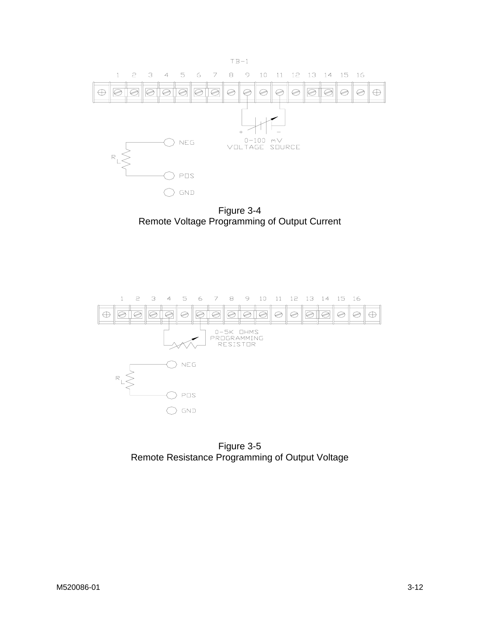<span id="page-23-0"></span>![](_page_23_Figure_0.jpeg)

Figure 3-4 Remote Voltage Programming of Output Current

![](_page_23_Figure_2.jpeg)

Figure 3-5 Remote Resistance Programming of Output Voltage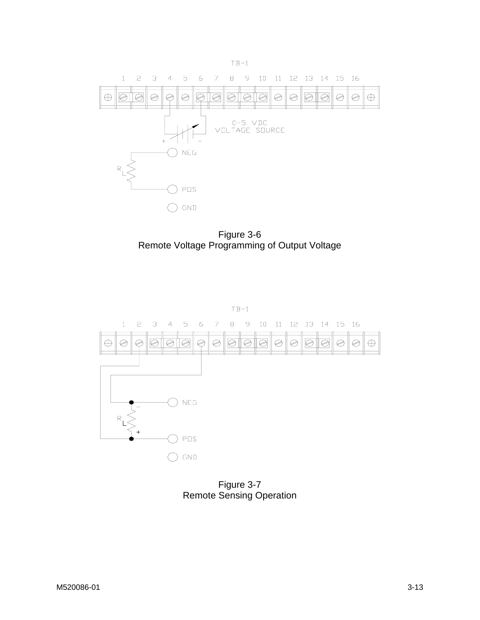<span id="page-24-0"></span>![](_page_24_Figure_0.jpeg)

Figure 3-6 Remote Voltage Programming of Output Voltage

![](_page_24_Figure_2.jpeg)

Figure 3-7 Remote Sensing Operation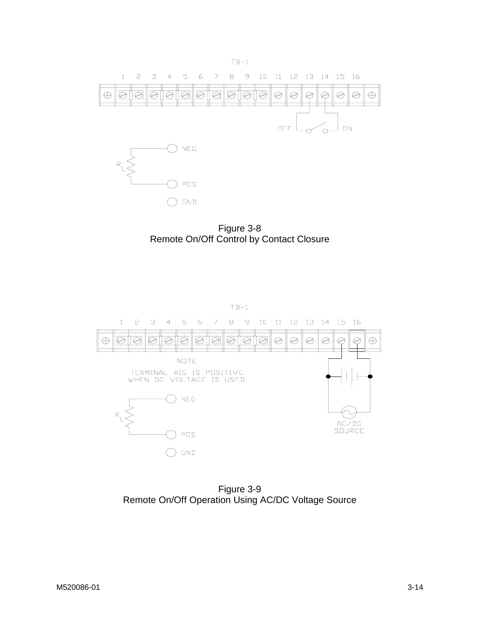<span id="page-25-0"></span>![](_page_25_Figure_0.jpeg)

Figure 3-8 Remote On/Off Control by Contact Closure

![](_page_25_Figure_2.jpeg)

Figure 3-9 Remote On/Off Operation Using AC/DC Voltage Source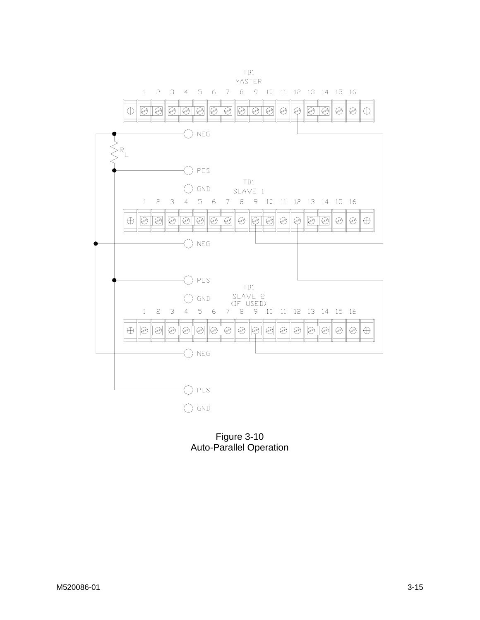<span id="page-26-0"></span>![](_page_26_Figure_0.jpeg)

Figure 3-10 Auto-Parallel Operation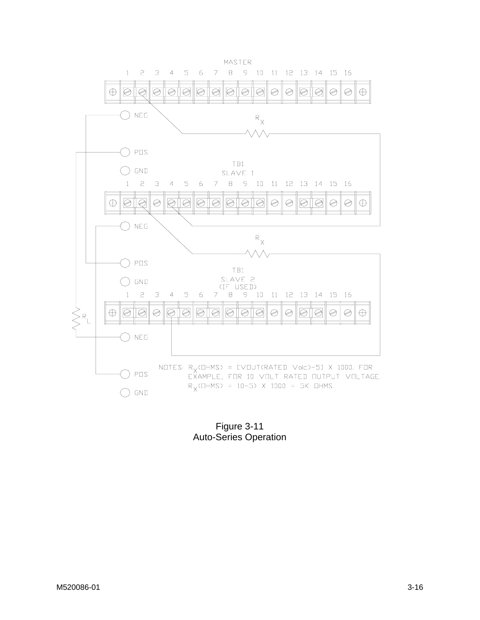<span id="page-27-0"></span>![](_page_27_Figure_0.jpeg)

Figure 3-11 Auto-Series Operation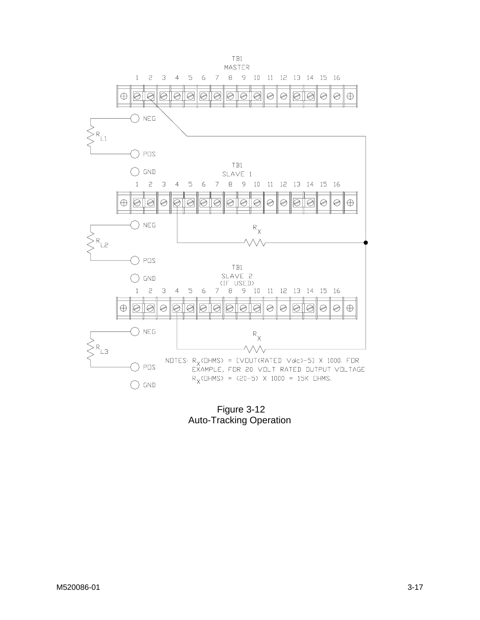<span id="page-28-0"></span>![](_page_28_Figure_0.jpeg)

 Figure 3-12 Auto-Tracking Operation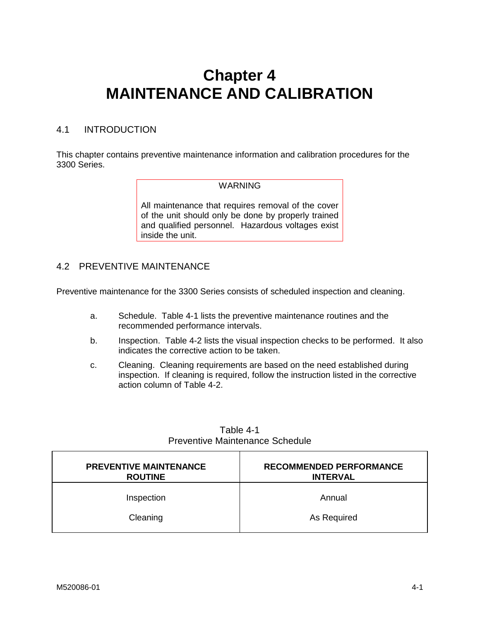# <span id="page-29-0"></span>**Chapter 4 MAINTENANCE AND CALIBRATION**

# 4.1 INTRODUCTION

This chapter contains preventive maintenance information and calibration procedures for the 3300 Series.

### WARNING

All maintenance that requires removal of the cover of the unit should only be done by properly trained and qualified personnel. Hazardous voltages exist inside the unit.

## 4.2 PREVENTIVE MAINTENANCE

Preventive maintenance for the 3300 Series consists of scheduled inspection and cleaning.

- a. Schedule. Table 4-1 lists the preventive maintenance routines and the recommended performance intervals.
- b. Inspection. Table 4-2 lists the visual inspection checks to be performed. It also indicates the corrective action to be taken.
- c. Cleaning. Cleaning requirements are based on the need established during inspection. If cleaning is required, follow the instruction listed in the corrective action column of Table 4-2.

| <b>PREVENTIVE MAINTENANCE</b><br><b>ROUTINE</b> | <b>RECOMMENDED PERFORMANCE</b><br><b>INTERVAL</b> |
|-------------------------------------------------|---------------------------------------------------|
| Inspection                                      | Annual                                            |
| Cleaning                                        | As Required                                       |

Table 4-1 Preventive Maintenance Schedule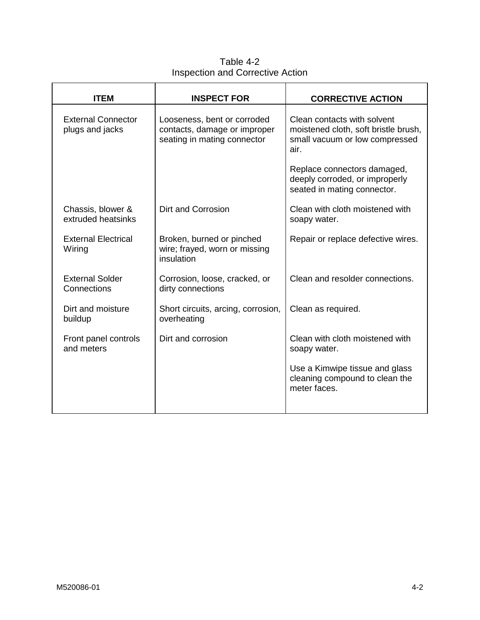Table 4-2 Inspection and Corrective Action

<span id="page-30-0"></span>

| <b>ITEM</b>                                  | <b>INSPECT FOR</b>                                                                         | <b>CORRECTIVE ACTION</b>                                                                                      |
|----------------------------------------------|--------------------------------------------------------------------------------------------|---------------------------------------------------------------------------------------------------------------|
| <b>External Connector</b><br>plugs and jacks | Looseness, bent or corroded<br>contacts, damage or improper<br>seating in mating connector | Clean contacts with solvent<br>moistened cloth, soft bristle brush,<br>small vacuum or low compressed<br>air. |
|                                              |                                                                                            | Replace connectors damaged,<br>deeply corroded, or improperly<br>seated in mating connector.                  |
| Chassis, blower &<br>extruded heatsinks      | <b>Dirt and Corrosion</b>                                                                  | Clean with cloth moistened with<br>soapy water.                                                               |
| <b>External Electrical</b><br>Wiring         | Broken, burned or pinched<br>wire; frayed, worn or missing<br>insulation                   | Repair or replace defective wires.                                                                            |
| <b>External Solder</b><br>Connections        | Corrosion, loose, cracked, or<br>dirty connections                                         | Clean and resolder connections.                                                                               |
| Dirt and moisture<br>buildup                 | Short circuits, arcing, corrosion,<br>overheating                                          | Clean as required.                                                                                            |
| Front panel controls<br>and meters           | Dirt and corrosion                                                                         | Clean with cloth moistened with<br>soapy water.                                                               |
|                                              |                                                                                            | Use a Kimwipe tissue and glass<br>cleaning compound to clean the<br>meter faces.                              |
|                                              |                                                                                            |                                                                                                               |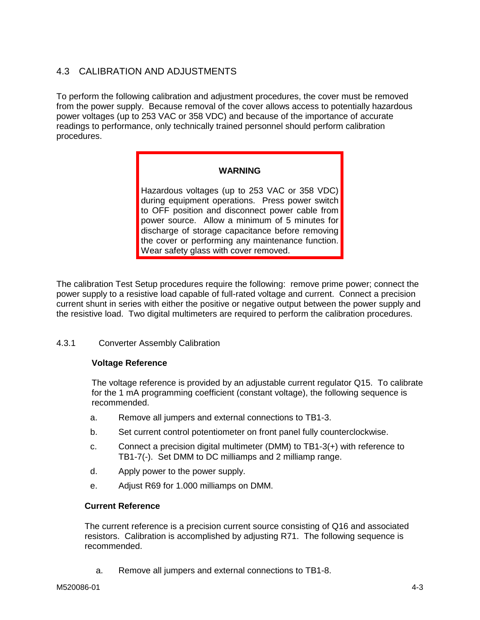# <span id="page-31-0"></span>4.3 CALIBRATION AND ADJUSTMENTS

To perform the following calibration and adjustment procedures, the cover must be removed from the power supply. Because removal of the cover allows access to potentially hazardous power voltages (up to 253 VAC or 358 VDC) and because of the importance of accurate readings to performance, only technically trained personnel should perform calibration procedures.

#### **WARNING**

Hazardous voltages (up to 253 VAC or 358 VDC) during equipment operations. Press power switch to OFF position and disconnect power cable from power source. Allow a minimum of 5 minutes for discharge of storage capacitance before removing the cover or performing any maintenance function. Wear safety glass with cover removed.

The calibration Test Setup procedures require the following: remove prime power; connect the power supply to a resistive load capable of full-rated voltage and current. Connect a precision current shunt in series with either the positive or negative output between the power supply and the resistive load. Two digital multimeters are required to perform the calibration procedures.

#### 4.3.1 Converter Assembly Calibration

#### **Voltage Reference**

The voltage reference is provided by an adjustable current regulator Q15. To calibrate for the 1 mA programming coefficient (constant voltage), the following sequence is recommended.

- a. Remove all jumpers and external connections to TB1-3.
- b. Set current control potentiometer on front panel fully counterclockwise.
- c. Connect a precision digital multimeter (DMM) to TB1-3(+) with reference to TB1-7(-). Set DMM to DC milliamps and 2 milliamp range.
- d. Apply power to the power supply.
- e. Adjust R69 for 1.000 milliamps on DMM.

#### **Current Reference**

The current reference is a precision current source consisting of Q16 and associated resistors. Calibration is accomplished by adjusting R71. The following sequence is recommended.

a. Remove all jumpers and external connections to TB1-8.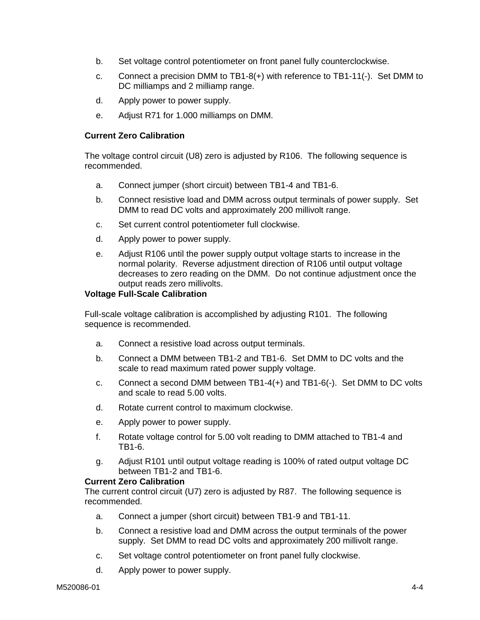- b. Set voltage control potentiometer on front panel fully counterclockwise.
- c. Connect a precision DMM to TB1-8(+) with reference to TB1-11(-). Set DMM to DC milliamps and 2 milliamp range.
- d. Apply power to power supply.
- e. Adjust R71 for 1.000 milliamps on DMM.

### **Current Zero Calibration**

The voltage control circuit (U8) zero is adjusted by R106. The following sequence is recommended.

- a. Connect jumper (short circuit) between TB1-4 and TB1-6.
- b. Connect resistive load and DMM across output terminals of power supply. Set DMM to read DC volts and approximately 200 millivolt range.
- c. Set current control potentiometer full clockwise.
- d. Apply power to power supply.
- e. Adjust R106 until the power supply output voltage starts to increase in the normal polarity. Reverse adjustment direction of R106 until output voltage decreases to zero reading on the DMM. Do not continue adjustment once the output reads zero millivolts.

### **Voltage Full-Scale Calibration**

Full-scale voltage calibration is accomplished by adjusting R101. The following sequence is recommended.

- a. Connect a resistive load across output terminals.
- b. Connect a DMM between TB1-2 and TB1-6. Set DMM to DC volts and the scale to read maximum rated power supply voltage.
- c. Connect a second DMM between TB1-4(+) and TB1-6(-). Set DMM to DC volts and scale to read 5.00 volts.
- d. Rotate current control to maximum clockwise.
- e. Apply power to power supply.
- f. Rotate voltage control for 5.00 volt reading to DMM attached to TB1-4 and TB1-6.
- g. Adjust R101 until output voltage reading is 100% of rated output voltage DC between TB1-2 and TB1-6.

#### **Current Zero Calibration**

The current control circuit (U7) zero is adjusted by R87. The following sequence is recommended.

- a. Connect a jumper (short circuit) between TB1-9 and TB1-11.
- b. Connect a resistive load and DMM across the output terminals of the power supply. Set DMM to read DC volts and approximately 200 millivolt range.
- c. Set voltage control potentiometer on front panel fully clockwise.
- d. Apply power to power supply.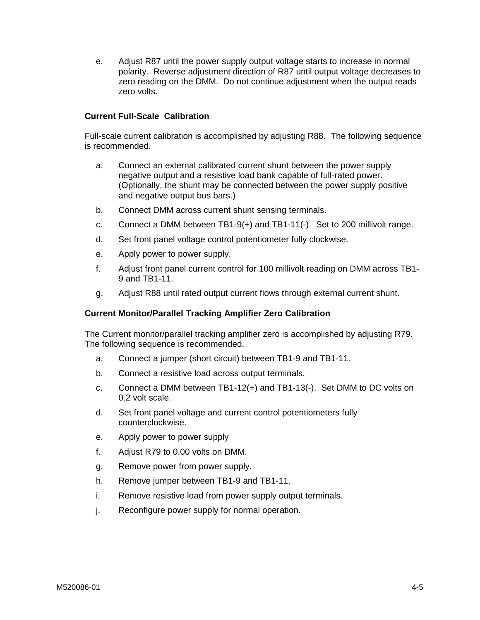e. Adjust R87 until the power supply output voltage starts to increase in normal polarity. Reverse adjustment direction of R87 until output voltage decreases to zero reading on the DMM. Do not continue adjustment when the output reads zero volts.

### **Current Full-Scale Calibration**

Full-scale current calibration is accomplished by adjusting R88. The following sequence is recommended.

- a. Connect an external calibrated current shunt between the power supply negative output and a resistive load bank capable of full-rated power. (Optionally, the shunt may be connected between the power supply positive and negative output bus bars.)
- b. Connect DMM across current shunt sensing terminals.
- c. Connect a DMM between TB1-9(+) and TB1-11(-). Set to 200 millivolt range.
- d. Set front panel voltage control potentiometer fully clockwise.
- e. Apply power to power supply.
- f. Adjust front panel current control for 100 millivolt reading on DMM across TB1- 9 and TB1-11.
- g. Adjust R88 until rated output current flows through external current shunt.

## **Current Monitor/Parallel Tracking Amplifier Zero Calibration**

The Current monitor/parallel tracking amplifier zero is accomplished by adjusting R79. The following sequence is recommended.

- a. Connect a jumper (short circuit) between TB1-9 and TB1-11.
- b. Connect a resistive load across output terminals.
- c. Connect a DMM between TB1-12(+) and TB1-13(-). Set DMM to DC volts on 0.2 volt scale.
- d. Set front panel voltage and current control potentiometers fully counterclockwise.
- e. Apply power to power supply
- f. Adjust R79 to 0.00 volts on DMM.
- g. Remove power from power supply.
- h. Remove jumper between TB1-9 and TB1-11.
- i. Remove resistive load from power supply output terminals.
- j. Reconfigure power supply for normal operation.